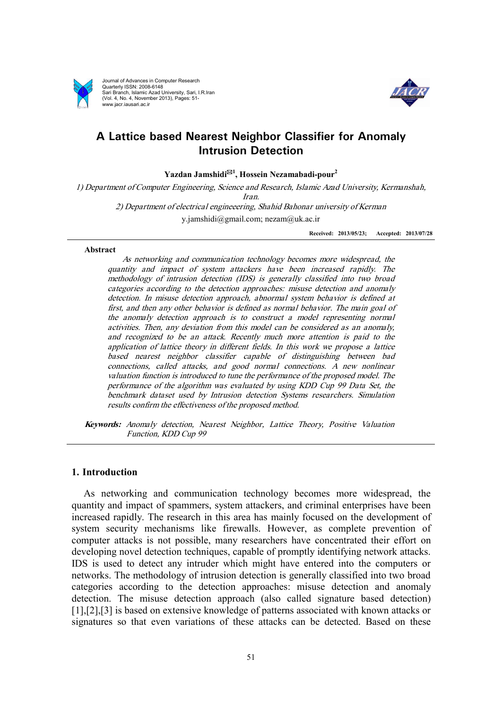

Journal of Advances in Computer Research Quarterly ISSN: 2008-6148 Sari Branch, Islamic Azad University, Sari, I.R.Iran (Vol. 4, No. 4, November 2013), Pages: 51- www.jacr.iausari.ac.ir



# **A Lattice based Nearest Neighbor Classifier for Anomaly Intrusion Detection**

**Yazdan Jamshidi\*<sup>1</sup> , Hossein Nezamabadi-pour<sup>2</sup>**

*1) Department of Computer Engineering, Science and Research, Islamic Azad University, Kermanshah, Iran.* 

*2) Department of electrical engineeering, Shahid Bahonar university of Kerman*  y.jamshidi@gmail.com; nezam@uk.ac.ir

**Received: 2013/05/23; Accepted: 2013/07/28**

#### **Abstract**

*As networking and communication technology becomes more widespread, the quantity and impact of system attackers have been increased rapidly. The methodology of intrusion detection (IDS) is generally classified into two broad categories according to the detection approaches: misuse detection and anomaly detection. In misuse detection approach, abnormal system behavior is defined at first, and then any other behavior is defined as normal behavior. The main goal of the anomaly detection approach is to construct <sup>a</sup> model representing normal activities. Then, any deviation from this model can be considered as an anomaly, and recognized to be an attack. Recently much more attention is paid to the application of lattice theory in different fields. In this work we propose <sup>a</sup> lattice based nearest neighbor classifier capable of distinguishing between bad connections, called attacks, and good normal connections. A new nonlinear valuation function is introduced to tune the performance of the proposed model. The performance of the algorithm was evaluated by using KDD Cup 99 Data Set, the benchmark dataset used by Intrusion detection Systems researchers. Simulation results confirm the effectiveness of the proposed method.* 

*Keywords: Anomaly detection, Nearest Neighbor, Lattice Theory, Positive Valuation Function, KDD Cup 99* 

## **1. Introduction**

As networking and communication technology becomes more widespread, the quantity and impact of spammers, system attackers, and criminal enterprises have been increased rapidly. The research in this area has mainly focused on the development of system security mechanisms like firewalls. However, as complete prevention of computer attacks is not possible, many researchers have concentrated their effort on developing novel detection techniques, capable of promptly identifying network attacks. IDS is used to detect any intruder which might have entered into the computers or networks. The methodology of intrusion detection is generally classified into two broad categories according to the detection approaches: misuse detection and anomaly detection. The misuse detection approach (also called signature based detection) [1], [2], [3] is based on extensive knowledge of patterns associated with known attacks or signatures so that even variations of these attacks can be detected. Based on these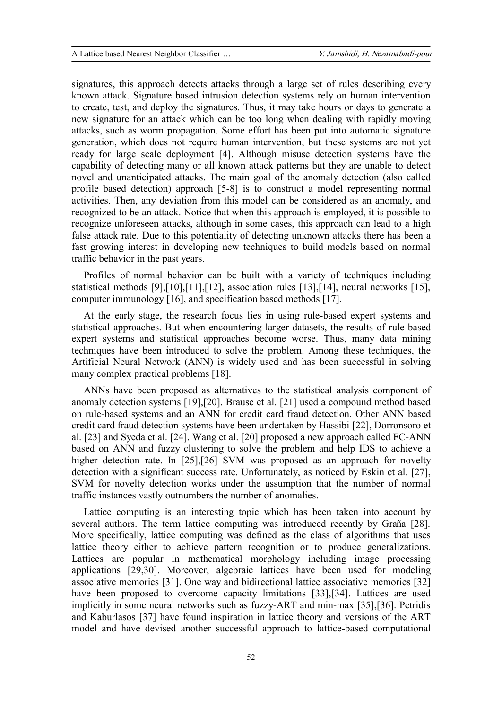signatures, this approach detects attacks through a large set of rules describing every known attack. Signature based intrusion detection systems rely on human intervention to create, test, and deploy the signatures. Thus, it may take hours or days to generate a new signature for an attack which can be too long when dealing with rapidly moving attacks, such as worm propagation. Some effort has been put into automatic signature generation, which does not require human intervention, but these systems are not yet ready for large scale deployment [4]. Although misuse detection systems have the capability of detecting many or all known attack patterns but they are unable to detect novel and unanticipated attacks. The main goal of the anomaly detection (also called profile based detection) approach [5-8] is to construct a model representing normal activities. Then, any deviation from this model can be considered as an anomaly, and recognized to be an attack. Notice that when this approach is employed, it is possible to recognize unforeseen attacks, although in some cases, this approach can lead to a high false attack rate. Due to this potentiality of detecting unknown attacks there has been a fast growing interest in developing new techniques to build models based on normal traffic behavior in the past years.

Profiles of normal behavior can be built with a variety of techniques including statistical methods [9],[10],[11],[12], association rules [13],[14], neural networks [15], computer immunology [16], and specification based methods [17].

At the early stage, the research focus lies in using rule-based expert systems and statistical approaches. But when encountering larger datasets, the results of rule-based expert systems and statistical approaches become worse. Thus, many data mining techniques have been introduced to solve the problem. Among these techniques, the Artificial Neural Network (ANN) is widely used and has been successful in solving many complex practical problems [18].

ANNs have been proposed as alternatives to the statistical analysis component of anomaly detection systems [19],[20]. Brause et al. [21] used a compound method based on rule-based systems and an ANN for credit card fraud detection. Other ANN based credit card fraud detection systems have been undertaken by Hassibi [22], Dorronsoro et al. [23] and Syeda et al. [24]. Wang et al. [20] proposed a new approach called FC-ANN based on ANN and fuzzy clustering to solve the problem and help IDS to achieve a higher detection rate. In [25], [26] SVM was proposed as an approach for novelty detection with a significant success rate. Unfortunately, as noticed by Eskin et al. [27], SVM for novelty detection works under the assumption that the number of normal traffic instances vastly outnumbers the number of anomalies.

Lattice computing is an interesting topic which has been taken into account by several authors. The term lattice computing was introduced recently by Graña [28]. More specifically, lattice computing was defined as the class of algorithms that uses lattice theory either to achieve pattern recognition or to produce generalizations. Lattices are popular in mathematical morphology including image processing applications [29,30]. Moreover, algebraic lattices have been used for modeling associative memories [31]. One way and bidirectional lattice associative memories [32] have been proposed to overcome capacity limitations [33],[34]. Lattices are used implicitly in some neural networks such as fuzzy-ART and min-max [35],[36]. Petridis and Kaburlasos [37] have found inspiration in lattice theory and versions of the ART model and have devised another successful approach to lattice-based computational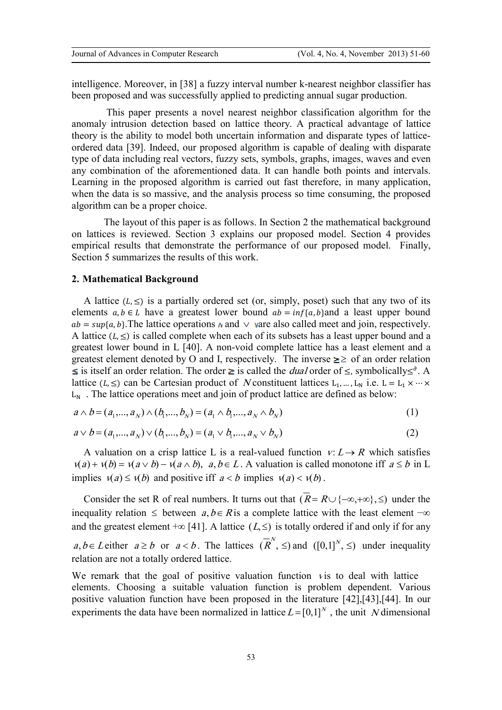intelligence. Moreover, in [38] a fuzzy interval number k-nearest neighbor classifier has been proposed and was successfully applied to predicting annual sugar production.

 This paper presents a novel nearest neighbor classification algorithm for the anomaly intrusion detection based on lattice theory. A practical advantage of lattice theory is the ability to model both uncertain information and disparate types of latticeordered data [39]. Indeed, our proposed algorithm is capable of dealing with disparate type of data including real vectors, fuzzy sets, symbols, graphs, images, waves and even any combination of the aforementioned data. It can handle both points and intervals. Learning in the proposed algorithm is carried out fast therefore, in many application, when the data is so massive, and the analysis process so time consuming, the proposed algorithm can be a proper choice.

 The layout of this paper is as follows. In Section 2 the mathematical background on lattices is reviewed. Section 3 explains our proposed model. Section 4 provides empirical results that demonstrate the performance of our proposed model. Finally, Section 5 summarizes the results of this work.

#### **2. Mathematical Background**

A lattice  $(L, \leq)$  is a partially ordered set (or, simply, poset) such that any two of its elements  $a, b \in L$  have a greatest lower bound  $ab = inf\{a, b\}$  and a least upper bound  $ab = \sup\{a, b\}$ . The lattice operations a and  $\vee$  vare also called meet and join, respectively. A lattice  $(L, \leq)$  is called complete when each of its subsets has a least upper bound and a greatest lower bound in L [40]. A non-void complete lattice has a least element and a greatest element denoted by O and I, respectively. The inverse  $\geq \geq$  of an order relation is itself an order relation. The order  $\geq$  is called the *dual* order of  $\leq$ , symbolically $\leq^{\partial}$ . A lattice ( $L \leq$ ) can be Cartesian product of *N* constituent lattices  $L_1, ..., L_N$  i.e.  $L = L_1 \times ... \times L_N$  $L_N$ . The lattice operations meet and join of product lattice are defined as below:

$$
a \wedge b = (a_1, ..., a_N) \wedge (b_1, ..., b_N) = (a_1 \wedge b_1, ..., a_N \wedge b_N)
$$
\n(1)

$$
a \vee b = (a_1, ..., a_N) \vee (b_1, ..., b_N) = (a_1 \vee b_1, ..., a_N \vee b_N)
$$
\n(2)

A valuation on a crisp lattice L is a real-valued function  $v: L \rightarrow R$  which satisfies  $v(a) + v(b) = v(a \vee b) - v(a \wedge b)$ ,  $a, b \in L$ . A valuation is called monotone iff  $a \leq b$  in L implies  $v(a) \le v(b)$  and positive iff  $a < b$  implies  $v(a) < v(b)$ .

Consider the set R of real numbers. It turns out that  $(R = R \cup \{-\infty, +\infty\}, \le)$  under the inequality relation  $\leq$  between  $a, b \in R$  is a complete lattice with the least element  $\neg \infty$ and the greatest element + $\infty$  [41]. A lattice ( $L \leq$ ) is totally ordered if and only if for any  $a, b \in L$  either  $a \ge b$  or  $a < b$ . The lattices  $(\overline{R}^N, \le)$  and  $([0,1]^N, \le)$  under inequality relation are not a totally ordered lattice.

We remark that the goal of positive valuation function  $\nu$  is to deal with lattice elements. Choosing a suitable valuation function is problem dependent. Various positive valuation function have been proposed in the literature [42],[43],[44]. In our experiments the data have been normalized in lattice  $L = [0,1]^N$ , the unit *N* dimensional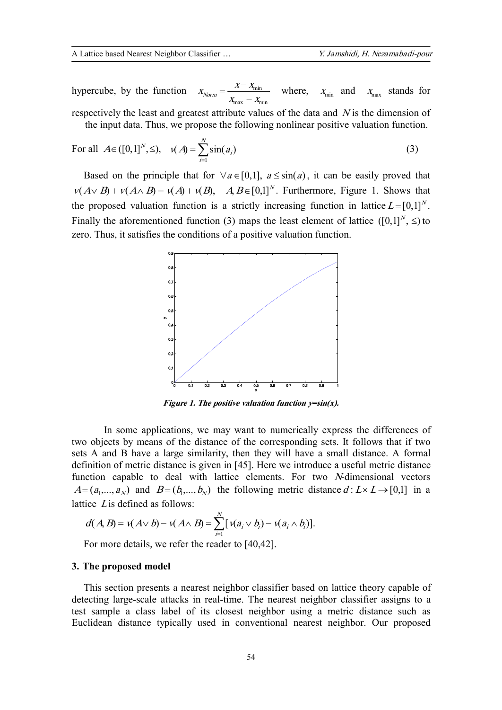hypercube, by the function  $_{\text{max}}$   $_{\text{min}}$ min  $X_{\cdots} = X$  $X_{Norm} = \frac{X - X_r}{X_{max} - X_r}$  $=\frac{X - X_{\min}}{X - X_{\min}}$  where,  $X_{\min}$  and  $X_{\max}$  stands for respectively the least and greatest attribute values of the data and *<sup>N</sup>* is the dimension of the input data. Thus, we propose the following nonlinear positive valuation function.

For all 
$$
A \in ([0,1]^N, \leq)
$$
,  $v(A) = \sum_{i=1}^N \sin(a_i)$  (3)

Based on the principle that for  $\forall a \in [0,1]$ ,  $a \leq \sin(a)$ , it can be easily proved that  $v(A \vee B) + v(A \wedge B) = v(A) + v(B), \quad A B \in [0,1]^N$ . Furthermore, Figure 1. Shows that the proposed valuation function is a strictly increasing function in lattice  $L = [0,1]^N$ . Finally the aforementioned function (3) maps the least element of lattice  $([0,1]^N, \leq)$  to zero. Thus, it satisfies the conditions of a positive valuation function.



*Figure 1. The positive valuation function y=sin(x).* 

 In some applications, we may want to numerically express the differences of two objects by means of the distance of the corresponding sets. It follows that if two sets A and B have a large similarity, then they will have a small distance. A formal definition of metric distance is given in [45]. Here we introduce a useful metric distance function capable to deal with lattice elements. For two *N*-dimensional vectors  $A = (a_1, \ldots, a_N)$  and  $B = (b_1, \ldots, b_N)$  the following metric distance  $d : L \times L \rightarrow [0,1]$  in a lattice *L*is defined as follows:

$$
d(A, B) = v(A \vee b) - v(A \wedge B) = \sum_{i=1}^{N} [v(a_i \vee b_i) - v(a_i \wedge b_i)].
$$

For more details*,* we refer the reader to [40,42].

## **3. The proposed model**

This section presents a nearest neighbor classifier based on lattice theory capable of detecting large-scale attacks in real-time. The nearest neighbor classifier assigns to a test sample a class label of its closest neighbor using a metric distance such as Euclidean distance typically used in conventional nearest neighbor. Our proposed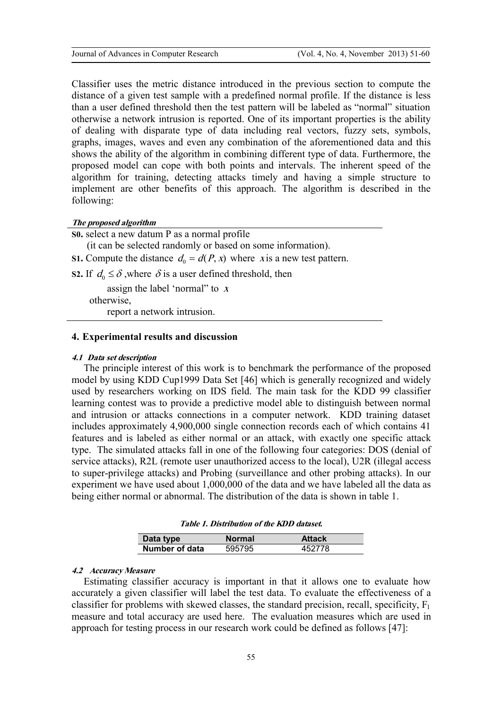Classifier uses the metric distance introduced in the previous section to compute the distance of a given test sample with a predefined normal profile. If the distance is less than a user defined threshold then the test pattern will be labeled as "normal" situation otherwise a network intrusion is reported. One of its important properties is the ability of dealing with disparate type of data including real vectors, fuzzy sets, symbols, graphs, images, waves and even any combination of the aforementioned data and this shows the ability of the algorithm in combining different type of data. Furthermore, the proposed model can cope with both points and intervals. The inherent speed of the algorithm for training, detecting attacks timely and having a simple structure to implement are other benefits of this approach. The algorithm is described in the following:

#### *The proposed algorithm*

| so. select a new datum P as a normal profile                                      |
|-----------------------------------------------------------------------------------|
| (it can be selected randomly or based on some information).                       |
| <b>S1.</b> Compute the distance $d_0 = d(P, x)$ where x is a new test pattern.    |
| <b>s2.</b> If $d_0 \le \delta$ , where $\delta$ is a user defined threshold, then |

 assign the label 'normal" to *<sup>x</sup>* otherwise, report a network intrusion.

## **4. Experimental results and discussion**

#### *4.1 Data set description*

The principle interest of this work is to benchmark the performance of the proposed model by using KDD Cup1999 Data Set [46] which is generally recognized and widely used by researchers working on IDS field. The main task for the KDD 99 classifier learning contest was to provide a predictive model able to distinguish between normal and intrusion or attacks connections in a computer network. KDD training dataset includes approximately 4,900,000 single connection records each of which contains 41 features and is labeled as either normal or an attack, with exactly one specific attack type. The simulated attacks fall in one of the following four categories: DOS (denial of service attacks), R2L (remote user unauthorized access to the local), U2R (illegal access to super-privilege attacks) and Probing (surveillance and other probing attacks). In our experiment we have used about 1,000,000 of the data and we have labeled all the data as being either normal or abnormal. The distribution of the data is shown in table 1.

| Table 1. Distribution of the KDD dataset. |  |  |
|-------------------------------------------|--|--|
|                                           |  |  |

| Data type      | <b>Normal</b> | <b>Attack</b> |  |
|----------------|---------------|---------------|--|
| Number of data | 595795        | 452778        |  |

## *4.2 Accuracy Measure*

Estimating classifier accuracy is important in that it allows one to evaluate how accurately a given classifier will label the test data. To evaluate the effectiveness of a classifier for problems with skewed classes, the standard precision, recall, specificity,  $F_1$ measure and total accuracy are used here. The evaluation measures which are used in approach for testing process in our research work could be defined as follows [47]: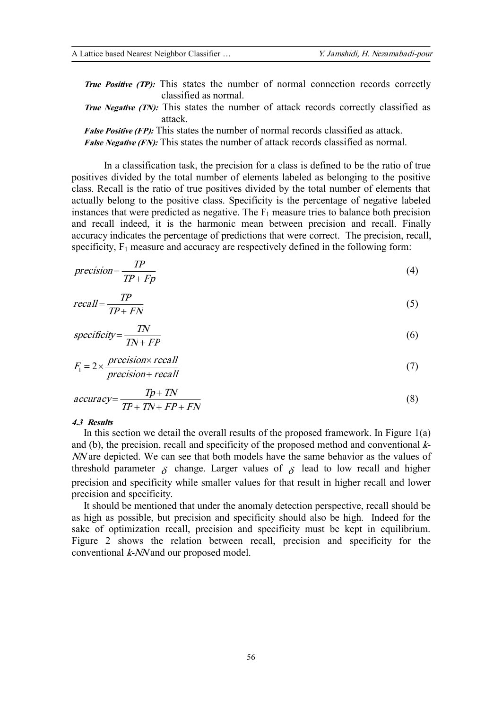- *True Positive (TP):* This states the number of normal connection records correctly classified as normal.
- *True Negative (TN):* This states the number of attack records correctly classified as attack.
- *False Positive (FP):* This states the number of normal records classified as attack.

*False Negative (FN):* This states the number of attack records classified as normal.

 In a classification task, the precision for a class is defined to be the ratio of true positives divided by the total number of elements labeled as belonging to the positive class. Recall is the ratio of true positives divided by the total number of elements that actually belong to the positive class. Specificity is the percentage of negative labeled instances that were predicted as negative. The  $F_1$  measure tries to balance both precision and recall indeed, it is the harmonic mean between precision and recall. Finally accuracy indicates the percentage of predictions that were correct. The precision, recall, specificity,  $F_1$  measure and accuracy are respectively defined in the following form:

$$
precision = \frac{TP}{TP + FP}
$$
 (4)

$$
recall = \frac{TP}{TP + FN} \tag{5}
$$

$$
specificity = \frac{TN}{TN + FP}
$$
 (6)

$$
F_1 = 2 \times \frac{precision \times recall}{precision + recall}
$$
 (7)

$$
accuracy = \frac{Tp + TN}{TP + TN + FP + FN}
$$
\n(8)

#### *4.3 Results*

In this section we detail the overall results of the proposed framework. In Figure  $1(a)$ and (b), the precision, recall and specificity of the proposed method and conventional *k-NN* are depicted. We can see that both models have the same behavior as the values of threshold parameter  $\delta$  change. Larger values of  $\delta$  lead to low recall and higher precision and specificity while smaller values for that result in higher recall and lower precision and specificity.

It should be mentioned that under the anomaly detection perspective, recall should be as high as possible, but precision and specificity should also be high. Indeed for the sake of optimization recall, precision and specificity must be kept in equilibrium. Figure 2 shows the relation between recall, precision and specificity for the conventional *k-NN* and our proposed model.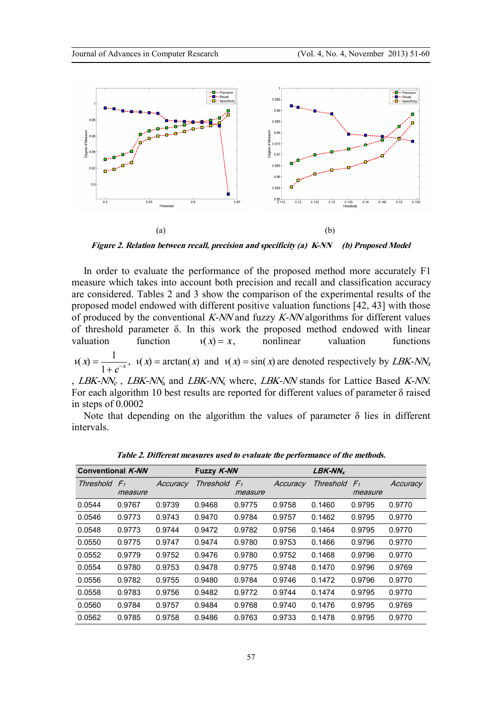

*Figure 2. Relation between recall, precision and specificity (a) K-NN (b) Proposed Model* 

In order to evaluate the performance of the proposed method more accurately F1 measure which takes into account both precision and recall and classification accuracy are considered. Tables 2 and 3 show the comparison of the experimental results of the proposed model endowed with different positive valuation functions [42, 43] with those of produced by the conventional *K-NN* and fuzzy *K-NN* algorithms for different values of threshold parameter δ. In this work the proposed method endowed with linear valuation function  $v(x) = x$ , nonlinear valuation functions ,  $v(x) = \arctan(x)$ 1  $f(x) = \frac{1}{1 + e^{-x}}, \quad v(x) = \arctan(x)$  $v(x) = \frac{1}{1-x}$ ,  $v(x) =$  $=\frac{1}{1+e^{-x}}$ ,  $v(x) = \arctan(x)$  and  $v(x) = \sin(x)$  are denoted respectively by *LBK-NN<sub>x</sub>* , *LBK-NN<sup>e</sup>* , *LBK-NN*<sup>a</sup> and *LBK-NN*<sup>s</sup> where, *LBK-NN* stands for Lattice Based *K-NN.* 

For each algorithm 10 best results are reported for different values of parameter δ raised in steps of 0.0002

Note that depending on the algorithm the values of parameter  $\delta$  lies in different intervals.

| Conventional K-NN |                           |          | Fuzzy K-NN |                           |          | $LBK-NN_x$ |                    |          |
|-------------------|---------------------------|----------|------------|---------------------------|----------|------------|--------------------|----------|
| Threshold         | F <sub>1</sub><br>measure | Accuracy | Threshold  | F <sub>1</sub><br>measure | Accuracy | Threshold  | $F_{1}$<br>measure | Accuracy |
|                   |                           |          |            |                           |          |            |                    |          |
| 0.0544            | 0.9767                    | 0.9739   | 0.9468     | 0.9775                    | 0.9758   | 0.1460     | 0.9795             | 0.9770   |
| 0.0546            | 0.9773                    | 0.9743   | 0.9470     | 0.9784                    | 0.9757   | 0.1462     | 0.9795             | 0.9770   |
| 0.0548            | 0.9773                    | 0.9744   | 0.9472     | 0.9782                    | 0.9756   | 0.1464     | 0.9795             | 0.9770   |
| 0.0550            | 0.9775                    | 0.9747   | 0.9474     | 0.9780                    | 0.9753   | 0.1466     | 0.9796             | 0.9770   |
| 0.0552            | 0.9779                    | 0.9752   | 0.9476     | 0.9780                    | 0.9752   | 0.1468     | 0.9796             | 0.9770   |
| 0.0554            | 0.9780                    | 0.9753   | 0.9478     | 0.9775                    | 0.9748   | 0.1470     | 0.9796             | 0.9769   |
| 0.0556            | 0.9782                    | 0.9755   | 0.9480     | 0.9784                    | 0.9746   | 0.1472     | 0.9796             | 0.9770   |
| 0.0558            | 0.9783                    | 0.9756   | 0.9482     | 0.9772                    | 0.9744   | 0.1474     | 0.9795             | 0.9770   |
| 0.0560            | 0.9784                    | 0.9757   | 0.9484     | 0.9768                    | 0.9740   | 0.1476     | 0.9795             | 0.9769   |
| 0.0562            | 0.9785                    | 0.9758   | 0.9486     | 0.9763                    | 0.9733   | 0.1478     | 0.9795             | 0.9770   |

*Table 2. Different measures used to evaluate the performance of the methods.*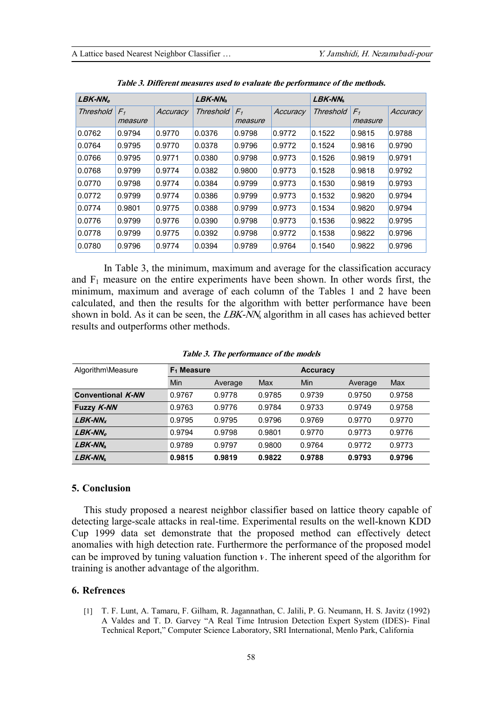| $LBK-NN_e$ |                  |          | $LBK-NNa$        |                  |          | <b>LBK-NNs</b> |                  |          |
|------------|------------------|----------|------------------|------------------|----------|----------------|------------------|----------|
| Threshold  | $F_1$<br>measure | Accuracy | <b>Threshold</b> | $F_1$<br>measure | Accuracy | Threshold      | $F_1$<br>measure | Accuracy |
| 0.0762     | 0.9794           | 0.9770   | 0.0376           | 0.9798           | 0.9772   | 0.1522         | 0.9815           | 0.9788   |
| 0.0764     | 0.9795           | 0.9770   | 0.0378           | 0.9796           | 0.9772   | 0.1524         | 0.9816           | 0.9790   |
| 0.0766     | 0.9795           | 0.9771   | 0.0380           | 0.9798           | 0.9773   | 0.1526         | 0.9819           | 0.9791   |
| 0.0768     | 0.9799           | 0.9774   | 0.0382           | 0.9800           | 0.9773   | 0.1528         | 0.9818           | 0.9792   |
| 0.0770     | 0.9798           | 0.9774   | 0.0384           | 0.9799           | 0.9773   | 0.1530         | 0.9819           | 0.9793   |
| 0.0772     | 0.9799           | 0.9774   | 0.0386           | 0.9799           | 0.9773   | 0.1532         | 0.9820           | 0.9794   |
| 0.0774     | 0.9801           | 0.9775   | 0.0388           | 0.9799           | 0.9773   | 0.1534         | 0.9820           | 0.9794   |
| 0.0776     | 0.9799           | 0.9776   | 0.0390           | 0.9798           | 0.9773   | 0.1536         | 0.9822           | 0.9795   |
| 0.0778     | 0.9799           | 0.9775   | 0.0392           | 0.9798           | 0.9772   | 0.1538         | 0.9822           | 0.9796   |
| 0.0780     | 0.9796           | 0.9774   | 0.0394           | 0.9789           | 0.9764   | 0.1540         | 0.9822           | 0.9796   |

*Table 3. Different measures used to evaluate the performance of the methods.* 

 In Table 3, the minimum, maximum and average for the classification accuracy and  $F_1$  measure on the entire experiments have been shown. In other words first, the minimum, maximum and average of each column of the Tables 1 and 2 have been calculated, and then the results for the algorithm with better performance have been shown in bold. As it can be seen, the *LBK-NN*s algorithm in all cases has achieved better results and outperforms other methods.

| Algorithm\Measure         | $F_1$ Measure |         |        | <b>Accuracy</b> |         |        |
|---------------------------|---------------|---------|--------|-----------------|---------|--------|
|                           | Min           | Average | Max    | Min             | Average | Max    |
| Conventional K-NN         | 0.9767        | 0.9778  | 0.9785 | 0.9739          | 0.9750  | 0.9758 |
| Fuzzy K-NN                | 0.9763        | 0.9776  | 0.9784 | 0.9733          | 0.9749  | 0.9758 |
| $LBK-NN_x$                | 0.9795        | 0.9795  | 0.9796 | 0.9769          | 0.9770  | 0.9770 |
| <b>LBK-NN<sub>e</sub></b> | 0.9794        | 0.9798  | 0.9801 | 0.9770          | 0.9773  | 0.9776 |
| $LBK-NNa$                 | 0.9789        | 0.9797  | 0.9800 | 0.9764          | 0.9772  | 0.9773 |
| <b>LBK-NN.</b>            | 0.9815        | 0.9819  | 0.9822 | 0.9788          | 0.9793  | 0.9796 |

*Table 3. The performance of the models* 

## **5. Conclusion**

This study proposed a nearest neighbor classifier based on lattice theory capable of detecting large-scale attacks in real-time. Experimental results on the well-known KDD Cup 1999 data set demonstrate that the proposed method can effectively detect anomalies with high detection rate. Furthermore the performance of the proposed model can be improved by tuning valuation function*v*. The inherent speed of the algorithm for training is another advantage of the algorithm.

#### **6. Refrences**

[1] T. F. Lunt, A. Tamaru, F. Gilham, R. Jagannathan, C. Jalili, P. G. Neumann, H. S. Javitz (1992) A Valdes and T. D. Garvey "A Real Time Intrusion Detection Expert System (IDES)- Final Technical Report," Computer Science Laboratory, SRI International, Menlo Park, California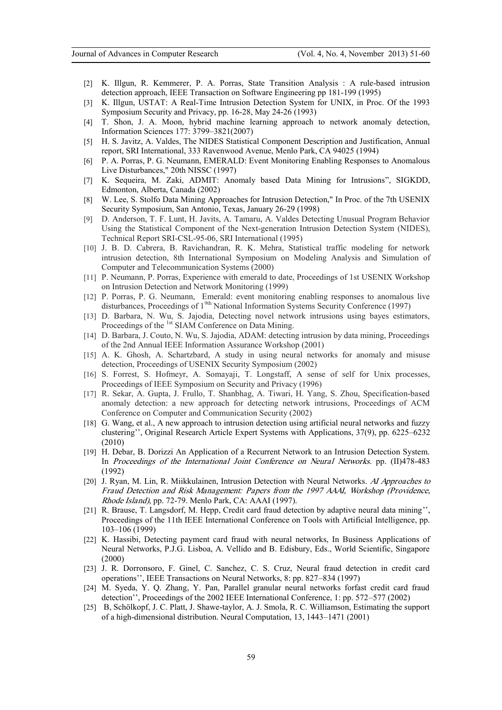- [2] K. Illgun, R. Kemmerer, P. A. Porras, State Transition Analysis : A rule-based intrusion detection approach, IEEE Transaction on Software Engineering pp 181-199 (1995)
- [3] K. Illgun, USTAT: A Real-Time Intrusion Detection System for UNIX, in Proc. Of the 1993 Symposium Security and Privacy, pp. 16-28, May 24-26 (1993)
- [4] T. Shon, J. A. Moon, hybrid machine learning approach to network anomaly detection, Information Sciences 177: 3799–3821(2007)
- [5] H. S. Javitz, A. Valdes, The NIDES Statistical Component Description and Justification, Annual report, SRI International, 333 Ravenwood Avenue, Menlo Park, CA 94025 (1994)
- [6] P. A. Porras, P. G. Neumann, EMERALD: Event Monitoring Enabling Responses to Anomalous Live Disturbances," 20th NISSC (1997)
- [7] K. Sequeira, M. Zaki, ADMIT: Anomaly based Data Mining for Intrusions", SIGKDD, Edmonton, Alberta, Canada (2002)
- [8] W. Lee, S. Stolfo Data Mining Approaches for Intrusion Detection," In Proc. of the 7th USENIX Security Symposium, San Antonio, Texas, January 26-29 (1998)
- [9] D. Anderson, T. F. Lunt, H. Javits, A. Tamaru, A. Valdes Detecting Unusual Program Behavior Using the Statistical Component of the Next-generation Intrusion Detection System (NIDES), Technical Report SRI-CSL-95-06, SRI International (1995)
- [10] J. B. D. Cabrera, B. Ravichandran, R. K. Mehra, Statistical traffic modeling for network intrusion detection, 8th International Symposium on Modeling Analysis and Simulation of Computer and Telecommunication Systems (2000)
- [11] P. Neumann, P. Porras, Experience with emerald to date, Proceedings of 1st USENIX Workshop on Intrusion Detection and Network Monitoring (1999)
- [12] P. Porras, P. G. Neumann, Emerald: event monitoring enabling responses to anomalous live disturbances, Proceedings of 1<sup>9th</sup> National Information Systems Security Conference (1997)
- [13] D. Barbara, N. Wu, S. Jajodia, Detecting novel network intrusions using bayes estimators, Proceedings of the <sup>1st</sup> SIAM Conference on Data Mining.
- [14] D. Barbara, J. Couto, N. Wu, S. Jajodia, ADAM: detecting intrusion by data mining, Proceedings of the 2nd Annual IEEE Information Assurance Workshop (2001)
- [15] A. K. Ghosh, A. Schartzbard, A study in using neural networks for anomaly and misuse detection, Proceedings of USENIX Security Symposium (2002)
- [16] S. Forrest, S. Hofmeyr, A. Somayaji, T. Longstaff, A sense of self for Unix processes, Proceedings of IEEE Symposium on Security and Privacy (1996)
- [17] R. Sekar, A. Gupta, J. Frullo, T. Shanbhag, A. Tiwari, H. Yang, S. Zhou, Specification-based anomaly detection: a new approach for detecting network intrusions, Proceedings of ACM Conference on Computer and Communication Security (2002)
- [18] G. Wang, et al., A new approach to intrusion detection using artificial neural networks and fuzzy clustering'', Original Research Article Expert Systems with Applications, 37(9), pp. 6225–6232 (2010)
- [19] H. Debar, B. Dorizzi An Application of a Recurrent Network to an Intrusion Detection System. In *Proceedings of the International Joint Conference on Neural Networks.* pp. (II)478-483 (1992)
- [20] J. Ryan, M. Lin, R. Miikkulainen, Intrusion Detection with Neural Networks. *AI Approaches to Fraud Detection and Risk Management: Papers from the 1997 AAAI, Workshop (Providence, Rhode Island)*, pp. 72-79. Menlo Park, CA: AAAI (1997).
- [21] R. Brause, T. Langsdorf, M. Hepp, Credit card fraud detection by adaptive neural data mining'', Proceedings of the 11th IEEE International Conference on Tools with Artificial Intelligence, pp. 103–106 (1999)
- [22] K. Hassibi, Detecting payment card fraud with neural networks, In Business Applications of Neural Networks, P.J.G. Lisboa, A. Vellido and B. Edisbury, Eds., World Scientific, Singapore (2000)
- [23] J. R. Dorronsoro, F. Ginel, C. Sanchez, C. S. Cruz, Neural fraud detection in credit card operations'', IEEE Transactions on Neural Networks, 8: pp. 827–834 (1997)
- [24] M. Syeda, Y. Q. Zhang, Y. Pan, Parallel granular neural networks forfast credit card fraud detection'', Proceedings of the 2002 IEEE International Conference, 1: pp. 572–577 (2002)
- [25] B, Schölkopf, J. C. Platt, J. Shawe-taylor, A. J. Smola, R. C. Williamson, Estimating the support of a high-dimensional distribution. Neural Computation, 13, 1443–1471 (2001)